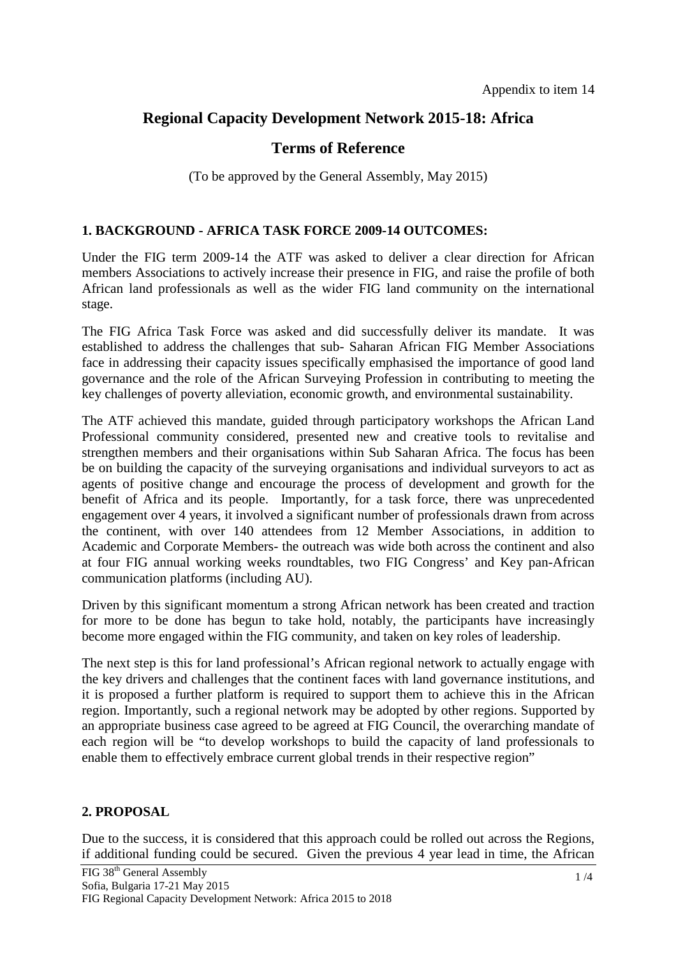# **Regional Capacity Development Network 2015-18: Africa**

## **Terms of Reference**

(To be approved by the General Assembly, May 2015)

### **1. BACKGROUND - AFRICA TASK FORCE 2009-14 OUTCOMES:**

Under the FIG term 2009-14 the ATF was asked to deliver a clear direction for African members Associations to actively increase their presence in FIG, and raise the profile of both African land professionals as well as the wider FIG land community on the international stage.

The FIG Africa Task Force was asked and did successfully deliver its mandate. It was established to address the challenges that sub- Saharan African FIG Member Associations face in addressing their capacity issues specifically emphasised the importance of good land governance and the role of the African Surveying Profession in contributing to meeting the key challenges of poverty alleviation, economic growth, and environmental sustainability.

The ATF achieved this mandate, guided through participatory workshops the African Land Professional community considered, presented new and creative tools to revitalise and strengthen members and their organisations within Sub Saharan Africa. The focus has been be on building the capacity of the surveying organisations and individual surveyors to act as agents of positive change and encourage the process of development and growth for the benefit of Africa and its people. Importantly, for a task force, there was unprecedented engagement over 4 years, it involved a significant number of professionals drawn from across the continent, with over 140 attendees from 12 Member Associations, in addition to Academic and Corporate Members- the outreach was wide both across the continent and also at four FIG annual working weeks roundtables, two FIG Congress' and Key pan-African communication platforms (including AU).

Driven by this significant momentum a strong African network has been created and traction for more to be done has begun to take hold, notably, the participants have increasingly become more engaged within the FIG community, and taken on key roles of leadership.

The next step is this for land professional's African regional network to actually engage with the key drivers and challenges that the continent faces with land governance institutions, and it is proposed a further platform is required to support them to achieve this in the African region. Importantly, such a regional network may be adopted by other regions. Supported by an appropriate business case agreed to be agreed at FIG Council, the overarching mandate of each region will be "to develop workshops to build the capacity of land professionals to enable them to effectively embrace current global trends in their respective region"

### **2. PROPOSAL**

Due to the success, it is considered that this approach could be rolled out across the Regions, if additional funding could be secured. Given the previous 4 year lead in time, the African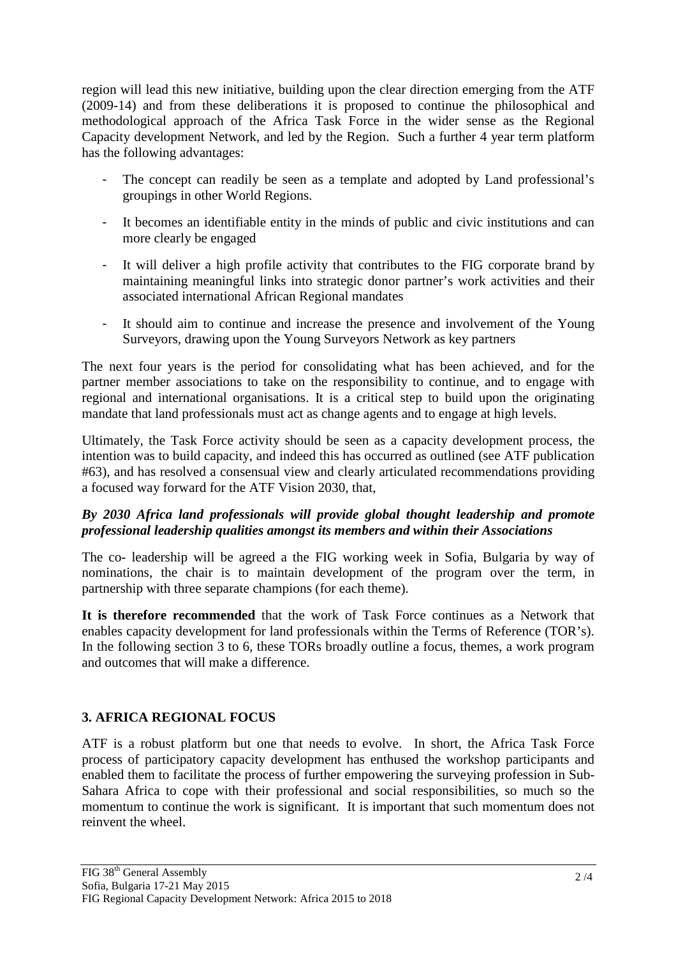region will lead this new initiative, building upon the clear direction emerging from the ATF (2009-14) and from these deliberations it is proposed to continue the philosophical and methodological approach of the Africa Task Force in the wider sense as the Regional Capacity development Network, and led by the Region. Such a further 4 year term platform has the following advantages:

- The concept can readily be seen as a template and adopted by Land professional's groupings in other World Regions.
- It becomes an identifiable entity in the minds of public and civic institutions and can more clearly be engaged
- It will deliver a high profile activity that contributes to the FIG corporate brand by maintaining meaningful links into strategic donor partner's work activities and their associated international African Regional mandates
- It should aim to continue and increase the presence and involvement of the Young Surveyors, drawing upon the Young Surveyors Network as key partners

The next four years is the period for consolidating what has been achieved, and for the partner member associations to take on the responsibility to continue, and to engage with regional and international organisations. It is a critical step to build upon the originating mandate that land professionals must act as change agents and to engage at high levels.

Ultimately, the Task Force activity should be seen as a capacity development process, the intention was to build capacity, and indeed this has occurred as outlined (see ATF publication #63), and has resolved a consensual view and clearly articulated recommendations providing a focused way forward for the ATF Vision 2030, that,

## *By 2030 Africa land professionals will provide global thought leadership and promote professional leadership qualities amongst its members and within their Associations*

The co- leadership will be agreed a the FIG working week in Sofia, Bulgaria by way of nominations, the chair is to maintain development of the program over the term, in partnership with three separate champions (for each theme).

**It is therefore recommended** that the work of Task Force continues as a Network that enables capacity development for land professionals within the Terms of Reference (TOR's). In the following section 3 to 6, these TORs broadly outline a focus, themes, a work program and outcomes that will make a difference.

## **3. AFRICA REGIONAL FOCUS**

ATF is a robust platform but one that needs to evolve. In short, the Africa Task Force process of participatory capacity development has enthused the workshop participants and enabled them to facilitate the process of further empowering the surveying profession in Sub-Sahara Africa to cope with their professional and social responsibilities, so much so the momentum to continue the work is significant. It is important that such momentum does not reinvent the wheel.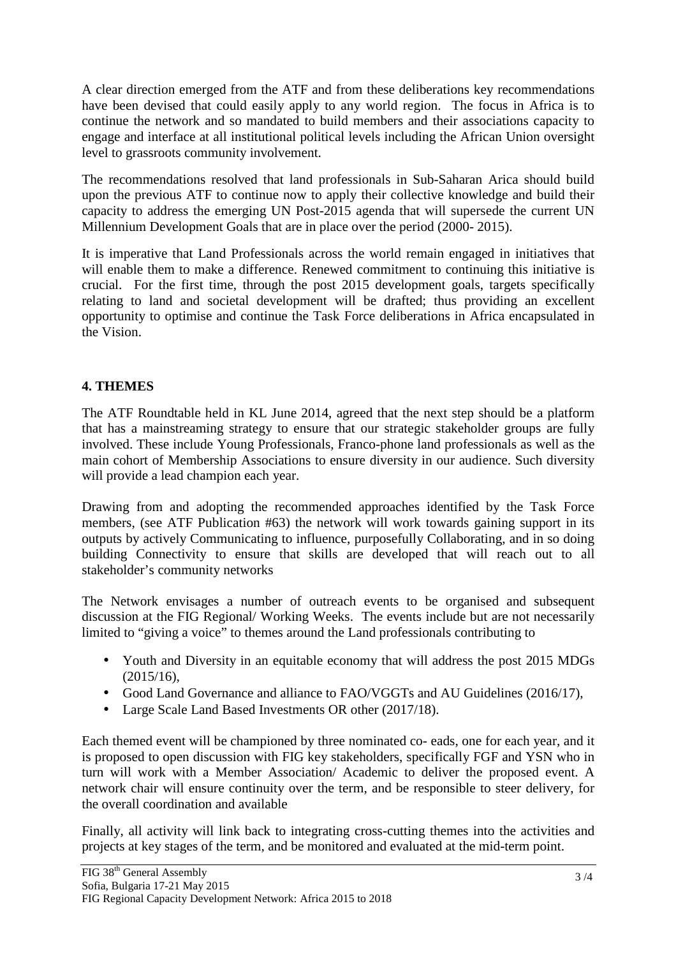A clear direction emerged from the ATF and from these deliberations key recommendations have been devised that could easily apply to any world region. The focus in Africa is to continue the network and so mandated to build members and their associations capacity to engage and interface at all institutional political levels including the African Union oversight level to grassroots community involvement.

The recommendations resolved that land professionals in Sub-Saharan Arica should build upon the previous ATF to continue now to apply their collective knowledge and build their capacity to address the emerging UN Post-2015 agenda that will supersede the current UN Millennium Development Goals that are in place over the period (2000- 2015).

It is imperative that Land Professionals across the world remain engaged in initiatives that will enable them to make a difference. Renewed commitment to continuing this initiative is crucial. For the first time, through the post 2015 development goals, targets specifically relating to land and societal development will be drafted; thus providing an excellent opportunity to optimise and continue the Task Force deliberations in Africa encapsulated in the Vision.

## **4. THEMES**

The ATF Roundtable held in KL June 2014, agreed that the next step should be a platform that has a mainstreaming strategy to ensure that our strategic stakeholder groups are fully involved. These include Young Professionals, Franco-phone land professionals as well as the main cohort of Membership Associations to ensure diversity in our audience. Such diversity will provide a lead champion each year.

Drawing from and adopting the recommended approaches identified by the Task Force members, (see ATF Publication #63) the network will work towards gaining support in its outputs by actively Communicating to influence, purposefully Collaborating, and in so doing building Connectivity to ensure that skills are developed that will reach out to all stakeholder's community networks

The Network envisages a number of outreach events to be organised and subsequent discussion at the FIG Regional/ Working Weeks. The events include but are not necessarily limited to "giving a voice" to themes around the Land professionals contributing to

- Youth and Diversity in an equitable economy that will address the post 2015 MDGs (2015/16),
- Good Land Governance and alliance to FAO/VGGTs and AU Guidelines (2016/17),
- Large Scale Land Based Investments OR other (2017/18).

Each themed event will be championed by three nominated co- eads, one for each year, and it is proposed to open discussion with FIG key stakeholders, specifically FGF and YSN who in turn will work with a Member Association/ Academic to deliver the proposed event. A network chair will ensure continuity over the term, and be responsible to steer delivery, for the overall coordination and available

Finally, all activity will link back to integrating cross-cutting themes into the activities and projects at key stages of the term, and be monitored and evaluated at the mid-term point.